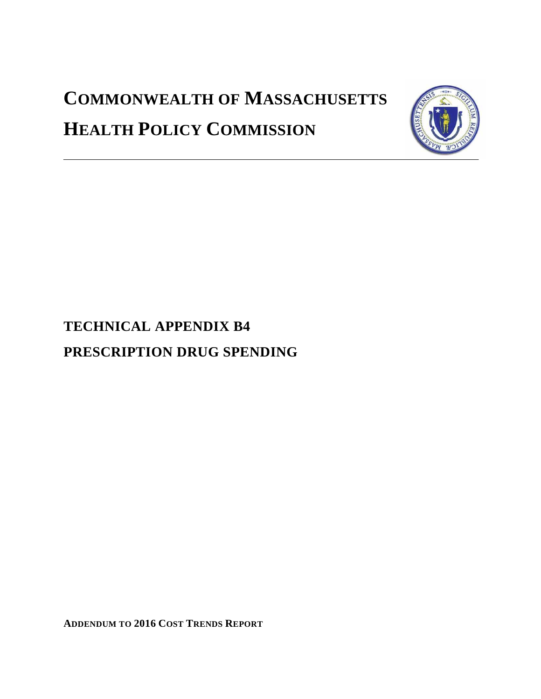# **COMMONWEALTH OF MASSACHUSETTS HEALTH POLICY COMMISSION**



# **TECHNICAL APPENDIX B4 PRESCRIPTION DRUG SPENDING**

**ADDENDUM TO 2016 COST TRENDS REPORT**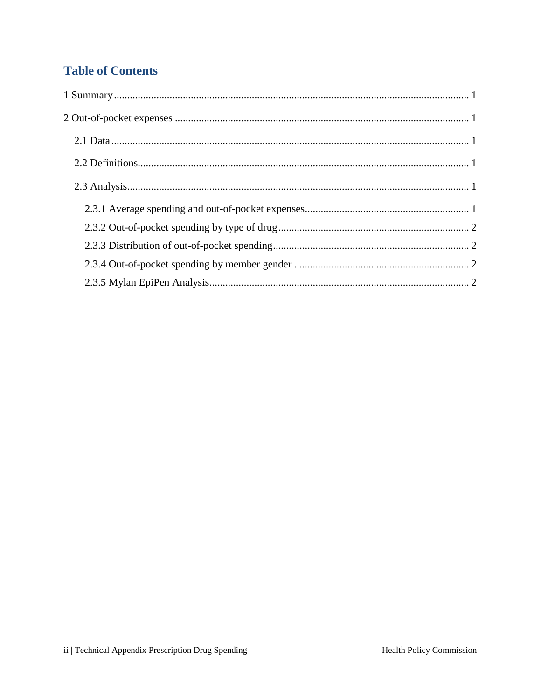# **Table of Contents**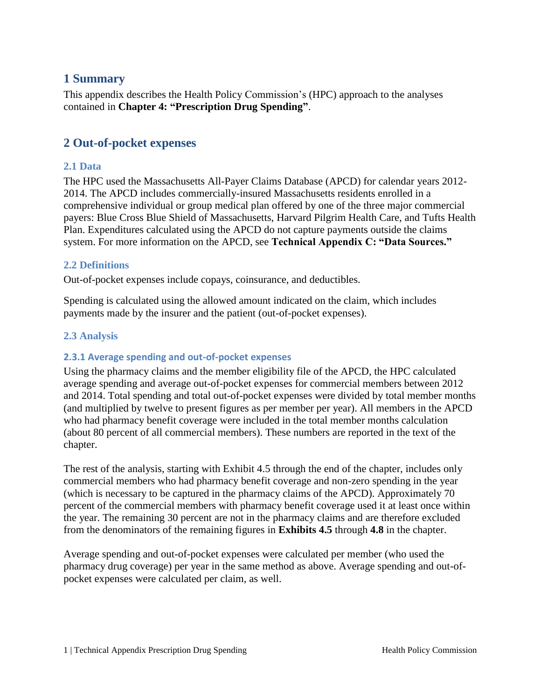### <span id="page-2-0"></span>**1 Summary**

This appendix describes the Health Policy Commission's (HPC) approach to the analyses contained in **Chapter 4: "Prescription Drug Spending"**.

## <span id="page-2-1"></span>**2 Out-of-pocket expenses**

#### <span id="page-2-2"></span>**2.1 Data**

The HPC used the Massachusetts All-Payer Claims Database (APCD) for calendar years 2012- 2014. The APCD includes commercially-insured Massachusetts residents enrolled in a comprehensive individual or group medical plan offered by one of the three major commercial payers: Blue Cross Blue Shield of Massachusetts, Harvard Pilgrim Health Care, and Tufts Health Plan. Expenditures calculated using the APCD do not capture payments outside the claims system. For more information on the APCD, see **Technical Appendix C: "Data Sources."**

#### <span id="page-2-3"></span>**2.2 Definitions**

Out-of-pocket expenses include copays, coinsurance, and deductibles.

Spending is calculated using the allowed amount indicated on the claim, which includes payments made by the insurer and the patient (out-of-pocket expenses).

#### <span id="page-2-4"></span>**2.3 Analysis**

#### <span id="page-2-5"></span>**2.3.1 Average spending and out-of-pocket expenses**

Using the pharmacy claims and the member eligibility file of the APCD, the HPC calculated average spending and average out-of-pocket expenses for commercial members between 2012 and 2014. Total spending and total out-of-pocket expenses were divided by total member months (and multiplied by twelve to present figures as per member per year). All members in the APCD who had pharmacy benefit coverage were included in the total member months calculation (about 80 percent of all commercial members). These numbers are reported in the text of the chapter.

The rest of the analysis, starting with Exhibit 4.5 through the end of the chapter, includes only commercial members who had pharmacy benefit coverage and non-zero spending in the year (which is necessary to be captured in the pharmacy claims of the APCD). Approximately 70 percent of the commercial members with pharmacy benefit coverage used it at least once within the year. The remaining 30 percent are not in the pharmacy claims and are therefore excluded from the denominators of the remaining figures in **Exhibits 4.5** through **4.8** in the chapter.

Average spending and out-of-pocket expenses were calculated per member (who used the pharmacy drug coverage) per year in the same method as above. Average spending and out-ofpocket expenses were calculated per claim, as well.